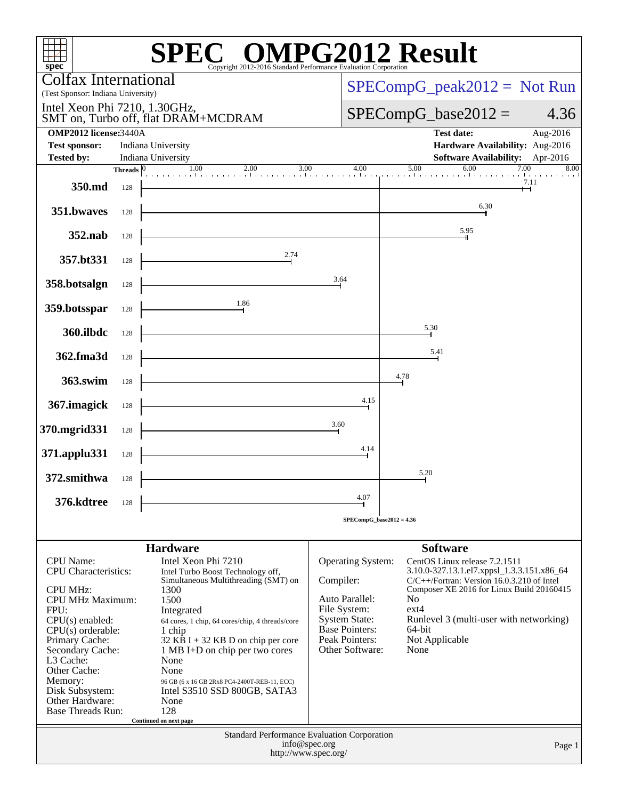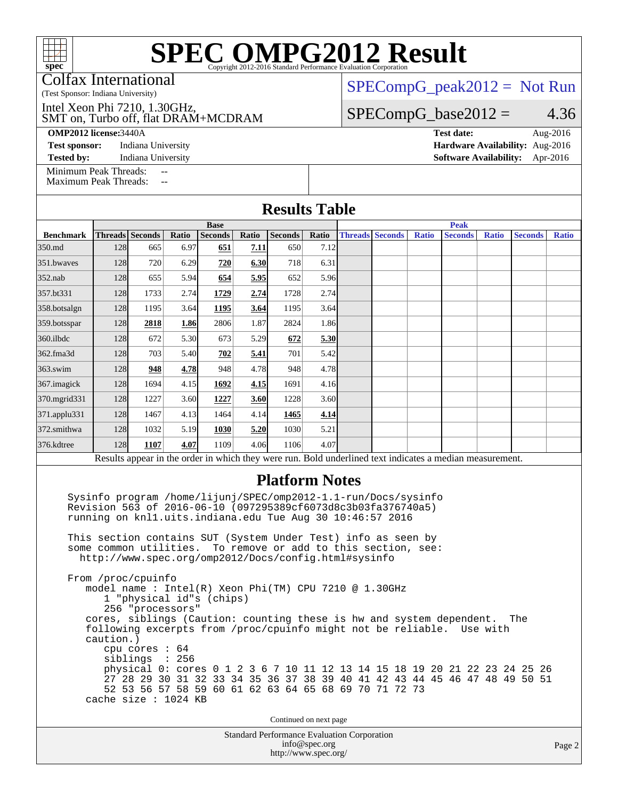Colfax International

(Test Sponsor: Indiana University)

SMT on, Turbo off, flat DRAM+MCDRAM Intel Xeon Phi 7210, 1.30GHz,

[SPECompG\\_peak2012 =](http://www.spec.org/auto/omp2012/Docs/result-fields.html#SPECompGpeak2012) Not Run  $SPECompG_base2012 = 4.36$  $SPECompG_base2012 = 4.36$ 

**[OMP2012 license:](http://www.spec.org/auto/omp2012/Docs/result-fields.html#OMP2012license)**3440A **[Test date:](http://www.spec.org/auto/omp2012/Docs/result-fields.html#Testdate)** Aug-2016 **[Test sponsor:](http://www.spec.org/auto/omp2012/Docs/result-fields.html#Testsponsor)** Indiana University **[Hardware Availability:](http://www.spec.org/auto/omp2012/Docs/result-fields.html#HardwareAvailability)** Aug-2016 **[Tested by:](http://www.spec.org/auto/omp2012/Docs/result-fields.html#Testedby)** Indiana University **[Software Availability:](http://www.spec.org/auto/omp2012/Docs/result-fields.html#SoftwareAvailability)** Apr-2016

[Minimum Peak Threads:](http://www.spec.org/auto/omp2012/Docs/result-fields.html#MinimumPeakThreads) --<br>Maximum Peak Threads: --

cache size : 1024 KB

[Maximum Peak Threads:](http://www.spec.org/auto/omp2012/Docs/result-fields.html#MaximumPeakThreads)

|                  |                                                                            |                                                                                                                                                                                              |       |                |       | <b>Results Table</b>  |       |  |                        |              |                                                                                                                                               |              |                |              |  |  |
|------------------|----------------------------------------------------------------------------|----------------------------------------------------------------------------------------------------------------------------------------------------------------------------------------------|-------|----------------|-------|-----------------------|-------|--|------------------------|--------------|-----------------------------------------------------------------------------------------------------------------------------------------------|--------------|----------------|--------------|--|--|
|                  |                                                                            | <b>Base</b>                                                                                                                                                                                  |       |                |       |                       |       |  | <b>Peak</b>            |              |                                                                                                                                               |              |                |              |  |  |
| <b>Benchmark</b> |                                                                            | Threads Seconds                                                                                                                                                                              | Ratio | <b>Seconds</b> | Ratio | Seconds               | Ratio |  | <b>Threads Seconds</b> | <b>Ratio</b> | <b>Seconds</b>                                                                                                                                | <b>Ratio</b> | <b>Seconds</b> | <b>Ratio</b> |  |  |
| 350.md           | 128                                                                        | 665                                                                                                                                                                                          | 6.97  | 651            | 7.11  | 650                   | 7.12  |  |                        |              |                                                                                                                                               |              |                |              |  |  |
| 351.bwayes       | 128                                                                        | 720                                                                                                                                                                                          | 6.29  | 720            | 6.30  | 718                   | 6.31  |  |                        |              |                                                                                                                                               |              |                |              |  |  |
| $352$ .nab       | 128                                                                        | 655                                                                                                                                                                                          | 5.94  | 654            | 5.95  | 652                   | 5.96  |  |                        |              |                                                                                                                                               |              |                |              |  |  |
| 357.bt331        | 128                                                                        | 1733                                                                                                                                                                                         | 2.74  | 1729           | 2.74  | 1728                  | 2.74  |  |                        |              |                                                                                                                                               |              |                |              |  |  |
| 358.botsalgn     | 128                                                                        | 1195                                                                                                                                                                                         | 3.64  | 1195           | 3.64  | 1195                  | 3.64  |  |                        |              |                                                                                                                                               |              |                |              |  |  |
| 359.botsspar     | 128                                                                        | 2818                                                                                                                                                                                         | 1.86  | 2806           | 1.87  | 2824                  | 1.86  |  |                        |              |                                                                                                                                               |              |                |              |  |  |
| 360.ilbdc        | 128                                                                        | 672                                                                                                                                                                                          | 5.30  | 673            | 5.29  | 672                   | 5.30  |  |                        |              |                                                                                                                                               |              |                |              |  |  |
| 362.fma3d        | 128                                                                        | 703                                                                                                                                                                                          | 5.40  | 702            | 5.41  | 701                   | 5.42  |  |                        |              |                                                                                                                                               |              |                |              |  |  |
| $363$ .swim      | 128                                                                        | 948                                                                                                                                                                                          | 4.78  | 948            | 4.78  | 948                   | 4.78  |  |                        |              |                                                                                                                                               |              |                |              |  |  |
| 367. imagick     | 128                                                                        | 1694                                                                                                                                                                                         | 4.15  | 1692           | 4.15  | 1691                  | 4.16  |  |                        |              |                                                                                                                                               |              |                |              |  |  |
| 370.mgrid331     | 128                                                                        | 1227                                                                                                                                                                                         | 3.60  | 1227           | 3.60  | 1228                  | 3.60  |  |                        |              |                                                                                                                                               |              |                |              |  |  |
| 371.applu331     | 128                                                                        | 1467                                                                                                                                                                                         | 4.13  | 1464           | 4.14  | 1465                  | 4.14  |  |                        |              |                                                                                                                                               |              |                |              |  |  |
| 372.smithwa      | 128                                                                        | 1032                                                                                                                                                                                         | 5.19  | 1030           | 5.20  | 1030                  | 5.21  |  |                        |              |                                                                                                                                               |              |                |              |  |  |
| 376.kdtree       | 128                                                                        | 1107                                                                                                                                                                                         | 4.07  | 1109           | 4.06  | 1106                  | 4.07  |  |                        |              |                                                                                                                                               |              |                |              |  |  |
|                  |                                                                            |                                                                                                                                                                                              |       |                |       |                       |       |  |                        |              | Results appear in the order in which they were run. Bold underlined text indicates a median measurement.                                      |              |                |              |  |  |
|                  |                                                                            | Sysinfo program /home/lijunj/SPEC/omp2012-1.1-run/Docs/sysinfo<br>Revision 563 of 2016-06-10 (097295389cf6073d8c3b03fa376740a5)<br>running on knll.uits.indiana.edu Tue Aug 30 10:46:57 2016 |       |                |       | <b>Platform Notes</b> |       |  |                        |              |                                                                                                                                               |              |                |              |  |  |
|                  |                                                                            | This section contains SUT (System Under Test) info as seen by<br>some common utilities. To remove or add to this section, see:<br>http://www.spec.org/omp2012/Docs/config.html#sysinfo       |       |                |       |                       |       |  |                        |              |                                                                                                                                               |              |                |              |  |  |
|                  | caution.)                                                                  | From /proc/cpuinfo<br>model name : Intel(R) Xeon Phi(TM) CPU 7210 @ 1.30GHz<br>1 "physical id"s (chips)<br>256 "processors"<br>cpu cores : 64<br>siblings : 256                              |       |                |       |                       |       |  |                        |              | cores, siblings (Caution: counting these is hw and system dependent.<br>following excerpts from /proc/cpuinfo might not be reliable. Use with |              | The            |              |  |  |
|                  | physical 0: cores 0 1 2 3 6 7 10 11 12 13 14 15 18 19 20 21 22 23 24 25 26 |                                                                                                                                                                                              |       |                |       |                       |       |  |                        |              |                                                                                                                                               |              |                |              |  |  |

Continued on next page

27 28 29 30 31 32 33 34 35 36 37 38 39 40 41 42 43 44 45 46 47 48 49 50 51

52 53 56 57 58 59 60 61 62 63 64 65 68 69 70 71 72 73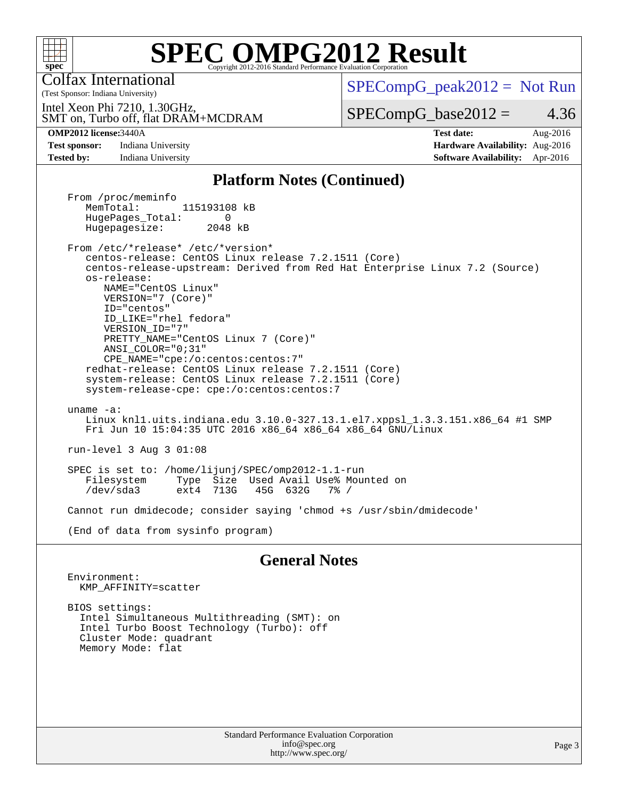

Colfax International

 $SPECompG_peak2012 = Not Run$  $SPECompG_peak2012 = Not Run$ 

SMT on, Turbo off, flat DRAM+MCDRAM Intel Xeon Phi 7210, 1.30GHz,

 $SPECompG_base2012 = 4.36$  $SPECompG_base2012 = 4.36$ 

(Test Sponsor: Indiana University)

**[Test sponsor:](http://www.spec.org/auto/omp2012/Docs/result-fields.html#Testsponsor)** Indiana University **[Hardware Availability:](http://www.spec.org/auto/omp2012/Docs/result-fields.html#HardwareAvailability)** Aug-2016 **[Tested by:](http://www.spec.org/auto/omp2012/Docs/result-fields.html#Testedby)** Indiana University **[Software Availability:](http://www.spec.org/auto/omp2012/Docs/result-fields.html#SoftwareAvailability)** Apr-2016

**[OMP2012 license:](http://www.spec.org/auto/omp2012/Docs/result-fields.html#OMP2012license)**3440A **[Test date:](http://www.spec.org/auto/omp2012/Docs/result-fields.html#Testdate)** Aug-2016

#### **[Platform Notes \(Continued\)](http://www.spec.org/auto/omp2012/Docs/result-fields.html#PlatformNotes)**

From /proc/meminfo<br>MemTotal: 115193108 kB HugePages\_Total: 0<br>Hugepagesize: 2048 kB Hugepagesize:

 From /etc/\*release\* /etc/\*version\* centos-release: CentOS Linux release 7.2.1511 (Core) centos-release-upstream: Derived from Red Hat Enterprise Linux 7.2 (Source) os-release: NAME="CentOS Linux" VERSION="7 (Core)" ID="centos" ID\_LIKE="rhel fedora" VERSION\_ID="7" PRETTY\_NAME="CentOS Linux 7 (Core)" ANSI\_COLOR="0;31" CPE\_NAME="cpe:/o:centos:centos:7"

 redhat-release: CentOS Linux release 7.2.1511 (Core) system-release: CentOS Linux release 7.2.1511 (Core) system-release-cpe: cpe:/o:centos:centos:7

 uname -a: Linux knl1.uits.indiana.edu 3.10.0-327.13.1.el7.xppsl\_1.3.3.151.x86\_64 #1 SMP Fri Jun 10 15:04:35 UTC 2016 x86\_64 x86\_64 x86\_64 GNU/Linux

run-level 3 Aug 3 01:08

 SPEC is set to: /home/lijunj/SPEC/omp2012-1.1-run Type Size Used Avail Use% Mounted on<br>ext4 713G 45G 632G 7% / /dev/sda3 ext4 713G 45G 632G 7% /

Cannot run dmidecode; consider saying 'chmod +s /usr/sbin/dmidecode'

(End of data from sysinfo program)

#### **[General Notes](http://www.spec.org/auto/omp2012/Docs/result-fields.html#GeneralNotes)**

 Environment: KMP\_AFFINITY=scatter

 BIOS settings: Intel Simultaneous Multithreading (SMT): on Intel Turbo Boost Technology (Turbo): off Cluster Mode: quadrant Memory Mode: flat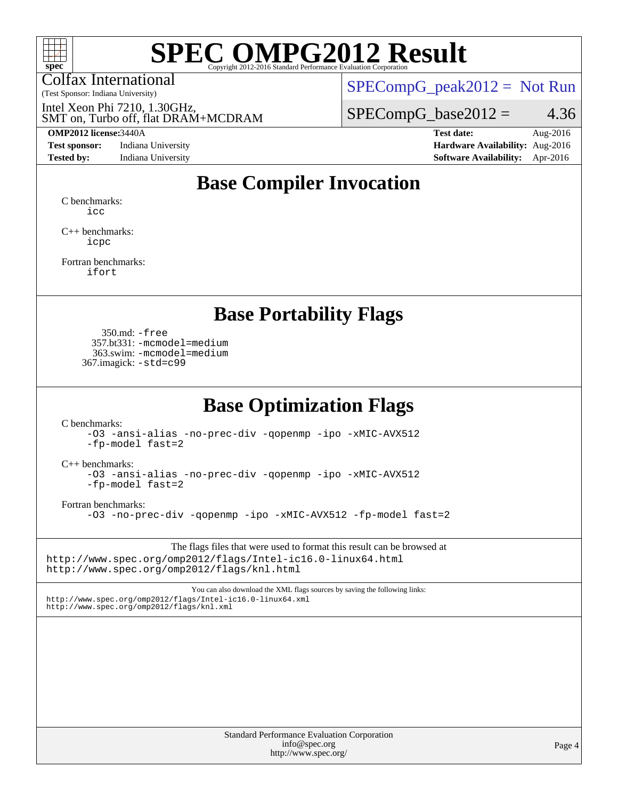

Colfax International

 $SPECompG_peak2012 = Not Run$  $SPECompG_peak2012 = Not Run$ 

SMT on, Turbo off, flat DRAM+MCDRAM Intel Xeon Phi 7210, 1.30GHz,

(Test Sponsor: Indiana University)

**[Test sponsor:](http://www.spec.org/auto/omp2012/Docs/result-fields.html#Testsponsor)** Indiana University **[Hardware Availability:](http://www.spec.org/auto/omp2012/Docs/result-fields.html#HardwareAvailability)** Aug-2016

 $SPECompG_base2012 = 4.36$  $SPECompG_base2012 = 4.36$ 

**[OMP2012 license:](http://www.spec.org/auto/omp2012/Docs/result-fields.html#OMP2012license)**3440A **[Test date:](http://www.spec.org/auto/omp2012/Docs/result-fields.html#Testdate)** Aug-2016 **[Tested by:](http://www.spec.org/auto/omp2012/Docs/result-fields.html#Testedby)** Indiana University **[Software Availability:](http://www.spec.org/auto/omp2012/Docs/result-fields.html#SoftwareAvailability)** Apr-2016

### **[Base Compiler Invocation](http://www.spec.org/auto/omp2012/Docs/result-fields.html#BaseCompilerInvocation)**

[C benchmarks](http://www.spec.org/auto/omp2012/Docs/result-fields.html#Cbenchmarks): [icc](http://www.spec.org/omp2012/results/res2016q4/omp2012-20161006-00081.flags.html#user_CCbase_intel_icc_a87c68a857bc5ec5362391a49d3a37a6)

[C++ benchmarks:](http://www.spec.org/auto/omp2012/Docs/result-fields.html#CXXbenchmarks) [icpc](http://www.spec.org/omp2012/results/res2016q4/omp2012-20161006-00081.flags.html#user_CXXbase_intel_icpc_2d899f8d163502b12eb4a60069f80c1c)

[Fortran benchmarks](http://www.spec.org/auto/omp2012/Docs/result-fields.html#Fortranbenchmarks): [ifort](http://www.spec.org/omp2012/results/res2016q4/omp2012-20161006-00081.flags.html#user_FCbase_intel_ifort_8a5e5e06b19a251bdeaf8fdab5d62f20)

#### **[Base Portability Flags](http://www.spec.org/auto/omp2012/Docs/result-fields.html#BasePortabilityFlags)**

 350.md: [-free](http://www.spec.org/omp2012/results/res2016q4/omp2012-20161006-00081.flags.html#user_baseFPORTABILITY350_md_f-FR_e51be0673775d2012b3310fa5323f530) 357.bt331: [-mcmodel=medium](http://www.spec.org/omp2012/results/res2016q4/omp2012-20161006-00081.flags.html#user_baseFPORTABILITY357_bt331_f-mcmodel_3a41622424bdd074c4f0f2d2f224c7e5) 363.swim: [-mcmodel=medium](http://www.spec.org/omp2012/results/res2016q4/omp2012-20161006-00081.flags.html#user_baseFPORTABILITY363_swim_f-mcmodel_3a41622424bdd074c4f0f2d2f224c7e5) 367.imagick: [-std=c99](http://www.spec.org/omp2012/results/res2016q4/omp2012-20161006-00081.flags.html#user_baseCPORTABILITY367_imagick_f-std_2ec6533b6e06f1c4a6c9b78d9e9cde24)

#### **[Base Optimization Flags](http://www.spec.org/auto/omp2012/Docs/result-fields.html#BaseOptimizationFlags)**

[C benchmarks](http://www.spec.org/auto/omp2012/Docs/result-fields.html#Cbenchmarks):

[-O3](http://www.spec.org/omp2012/results/res2016q4/omp2012-20161006-00081.flags.html#user_CCbase_f-O3) [-ansi-alias](http://www.spec.org/omp2012/results/res2016q4/omp2012-20161006-00081.flags.html#user_CCbase_f-ansi-alias) [-no-prec-div](http://www.spec.org/omp2012/results/res2016q4/omp2012-20161006-00081.flags.html#user_CCbase_f-no-prec-div) [-qopenmp](http://www.spec.org/omp2012/results/res2016q4/omp2012-20161006-00081.flags.html#user_CCbase_f-qopenmp) [-ipo](http://www.spec.org/omp2012/results/res2016q4/omp2012-20161006-00081.flags.html#user_CCbase_f-ipo) [-xMIC-AVX512](http://www.spec.org/omp2012/results/res2016q4/omp2012-20161006-00081.flags.html#user_CCbase_f-xMIC-AVX512) [-fp-model fast=2](http://www.spec.org/omp2012/results/res2016q4/omp2012-20161006-00081.flags.html#user_CCbase_f-fp-model_a7fb8ccb7275e23f0079632c153cfcab)

[C++ benchmarks:](http://www.spec.org/auto/omp2012/Docs/result-fields.html#CXXbenchmarks)

[-O3](http://www.spec.org/omp2012/results/res2016q4/omp2012-20161006-00081.flags.html#user_CXXbase_f-O3) [-ansi-alias](http://www.spec.org/omp2012/results/res2016q4/omp2012-20161006-00081.flags.html#user_CXXbase_f-ansi-alias) [-no-prec-div](http://www.spec.org/omp2012/results/res2016q4/omp2012-20161006-00081.flags.html#user_CXXbase_f-no-prec-div) [-qopenmp](http://www.spec.org/omp2012/results/res2016q4/omp2012-20161006-00081.flags.html#user_CXXbase_f-qopenmp) [-ipo](http://www.spec.org/omp2012/results/res2016q4/omp2012-20161006-00081.flags.html#user_CXXbase_f-ipo) [-xMIC-AVX512](http://www.spec.org/omp2012/results/res2016q4/omp2012-20161006-00081.flags.html#user_CXXbase_f-xMIC-AVX512) [-fp-model fast=2](http://www.spec.org/omp2012/results/res2016q4/omp2012-20161006-00081.flags.html#user_CXXbase_f-fp-model_a7fb8ccb7275e23f0079632c153cfcab)

[Fortran benchmarks](http://www.spec.org/auto/omp2012/Docs/result-fields.html#Fortranbenchmarks):

[-O3](http://www.spec.org/omp2012/results/res2016q4/omp2012-20161006-00081.flags.html#user_FCbase_f-O3) [-no-prec-div](http://www.spec.org/omp2012/results/res2016q4/omp2012-20161006-00081.flags.html#user_FCbase_f-no-prec-div) [-qopenmp](http://www.spec.org/omp2012/results/res2016q4/omp2012-20161006-00081.flags.html#user_FCbase_f-qopenmp) [-ipo](http://www.spec.org/omp2012/results/res2016q4/omp2012-20161006-00081.flags.html#user_FCbase_f-ipo) [-xMIC-AVX512](http://www.spec.org/omp2012/results/res2016q4/omp2012-20161006-00081.flags.html#user_FCbase_f-xMIC-AVX512) [-fp-model fast=2](http://www.spec.org/omp2012/results/res2016q4/omp2012-20161006-00081.flags.html#user_FCbase_f-fp-model_a7fb8ccb7275e23f0079632c153cfcab)

The flags files that were used to format this result can be browsed at <http://www.spec.org/omp2012/flags/Intel-ic16.0-linux64.html> <http://www.spec.org/omp2012/flags/knl.html>

You can also download the XML flags sources by saving the following links: <http://www.spec.org/omp2012/flags/Intel-ic16.0-linux64.xml> <http://www.spec.org/omp2012/flags/knl.xml>